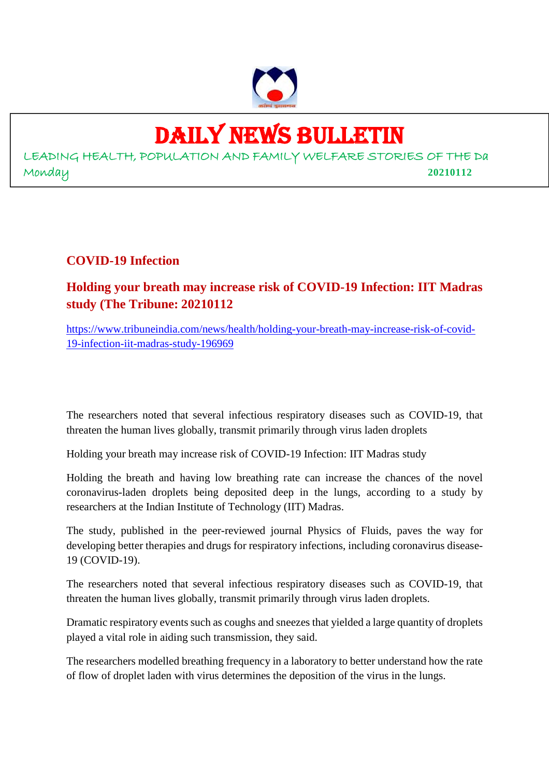

### DAILY NEWS BULLETIN

LEADING HEALTH, POPULATION AND FAMILY WELFARE STORIES OF THE Da Monday **20210112**

#### **COVID-19 Infection**

#### **Holding your breath may increase risk of COVID-19 Infection: IIT Madras study (The Tribune: 20210112**

https://www.tribuneindia.com/news/health/holding-your-breath-may-increase-risk-of-covid-19-infection-iit-madras-study-196969

The researchers noted that several infectious respiratory diseases such as COVID-19, that threaten the human lives globally, transmit primarily through virus laden droplets

Holding your breath may increase risk of COVID-19 Infection: IIT Madras study

Holding the breath and having low breathing rate can increase the chances of the novel coronavirus-laden droplets being deposited deep in the lungs, according to a study by researchers at the Indian Institute of Technology (IIT) Madras.

The study, published in the peer-reviewed journal Physics of Fluids, paves the way for developing better therapies and drugs for respiratory infections, including coronavirus disease-19 (COVID-19).

The researchers noted that several infectious respiratory diseases such as COVID-19, that threaten the human lives globally, transmit primarily through virus laden droplets.

Dramatic respiratory events such as coughs and sneezes that yielded a large quantity of droplets played a vital role in aiding such transmission, they said.

The researchers modelled breathing frequency in a laboratory to better understand how the rate of flow of droplet laden with virus determines the deposition of the virus in the lungs.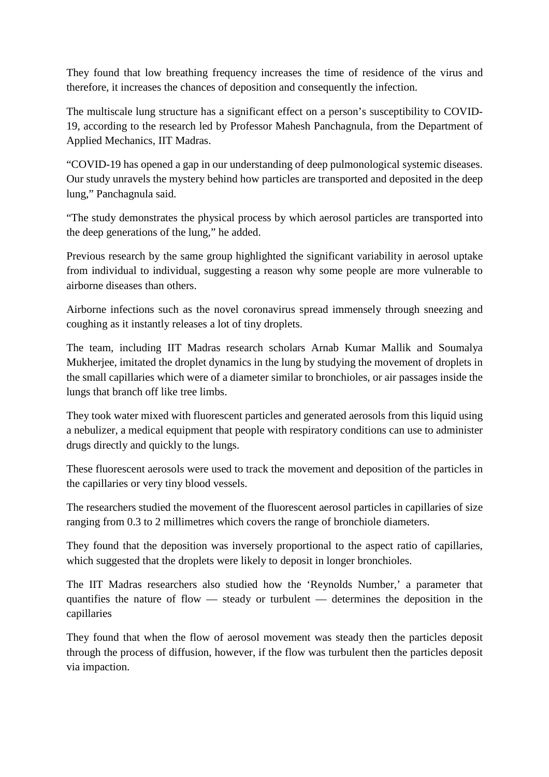They found that low breathing frequency increases the time of residence of the virus and therefore, it increases the chances of deposition and consequently the infection.

The multiscale lung structure has a significant effect on a person's susceptibility to COVID-19, according to the research led by Professor Mahesh Panchagnula, from the Department of Applied Mechanics, IIT Madras.

"COVID-19 has opened a gap in our understanding of deep pulmonological systemic diseases. Our study unravels the mystery behind how particles are transported and deposited in the deep lung," Panchagnula said.

"The study demonstrates the physical process by which aerosol particles are transported into the deep generations of the lung," he added.

Previous research by the same group highlighted the significant variability in aerosol uptake from individual to individual, suggesting a reason why some people are more vulnerable to airborne diseases than others.

Airborne infections such as the novel coronavirus spread immensely through sneezing and coughing as it instantly releases a lot of tiny droplets.

The team, including IIT Madras research scholars Arnab Kumar Mallik and Soumalya Mukherjee, imitated the droplet dynamics in the lung by studying the movement of droplets in the small capillaries which were of a diameter similar to bronchioles, or air passages inside the lungs that branch off like tree limbs.

They took water mixed with fluorescent particles and generated aerosols from this liquid using a nebulizer, a medical equipment that people with respiratory conditions can use to administer drugs directly and quickly to the lungs.

These fluorescent aerosols were used to track the movement and deposition of the particles in the capillaries or very tiny blood vessels.

The researchers studied the movement of the fluorescent aerosol particles in capillaries of size ranging from 0.3 to 2 millimetres which covers the range of bronchiole diameters.

They found that the deposition was inversely proportional to the aspect ratio of capillaries, which suggested that the droplets were likely to deposit in longer bronchioles.

The IIT Madras researchers also studied how the 'Reynolds Number,' a parameter that quantifies the nature of flow — steady or turbulent — determines the deposition in the capillaries

They found that when the flow of aerosol movement was steady then the particles deposit through the process of diffusion, however, if the flow was turbulent then the particles deposit via impaction.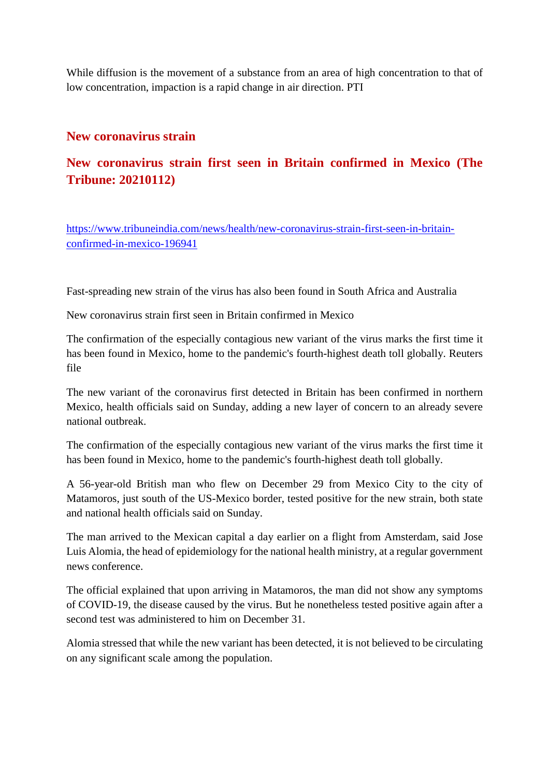While diffusion is the movement of a substance from an area of high concentration to that of low concentration, impaction is a rapid change in air direction. PTI

#### **New coronavirus strain**

#### **New coronavirus strain first seen in Britain confirmed in Mexico (The Tribune: 20210112)**

https://www.tribuneindia.com/news/health/new-coronavirus-strain-first-seen-in-britainconfirmed-in-mexico-196941

Fast-spreading new strain of the virus has also been found in South Africa and Australia

New coronavirus strain first seen in Britain confirmed in Mexico

The confirmation of the especially contagious new variant of the virus marks the first time it has been found in Mexico, home to the pandemic's fourth-highest death toll globally. Reuters file

The new variant of the coronavirus first detected in Britain has been confirmed in northern Mexico, health officials said on Sunday, adding a new layer of concern to an already severe national outbreak.

The confirmation of the especially contagious new variant of the virus marks the first time it has been found in Mexico, home to the pandemic's fourth-highest death toll globally.

A 56-year-old British man who flew on December 29 from Mexico City to the city of Matamoros, just south of the US-Mexico border, tested positive for the new strain, both state and national health officials said on Sunday.

The man arrived to the Mexican capital a day earlier on a flight from Amsterdam, said Jose Luis Alomia, the head of epidemiology for the national health ministry, at a regular government news conference.

The official explained that upon arriving in Matamoros, the man did not show any symptoms of COVID-19, the disease caused by the virus. But he nonetheless tested positive again after a second test was administered to him on December 31.

Alomia stressed that while the new variant has been detected, it is not believed to be circulating on any significant scale among the population.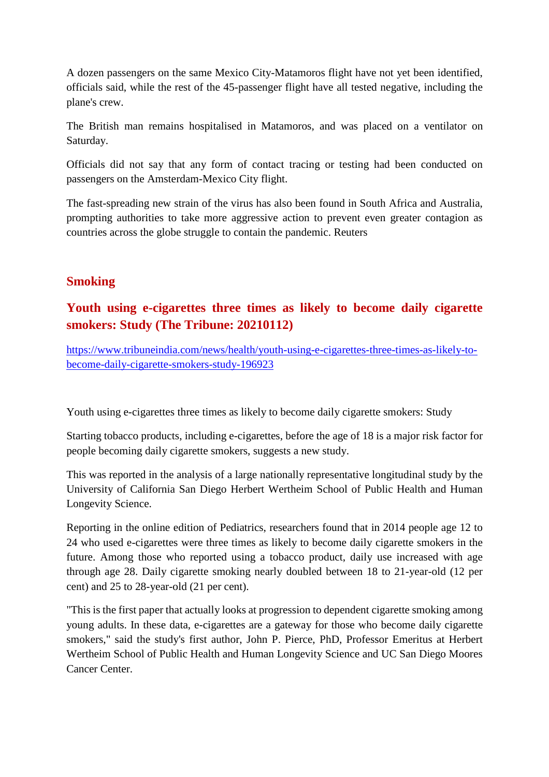A dozen passengers on the same Mexico City-Matamoros flight have not yet been identified, officials said, while the rest of the 45-passenger flight have all tested negative, including the plane's crew.

The British man remains hospitalised in Matamoros, and was placed on a ventilator on Saturday.

Officials did not say that any form of contact tracing or testing had been conducted on passengers on the Amsterdam-Mexico City flight.

The fast-spreading new strain of the virus has also been found in South Africa and Australia, prompting authorities to take more aggressive action to prevent even greater contagion as countries across the globe struggle to contain the pandemic. Reuters

#### **Smoking**

#### **Youth using e-cigarettes three times as likely to become daily cigarette smokers: Study (The Tribune: 20210112)**

https://www.tribuneindia.com/news/health/youth-using-e-cigarettes-three-times-as-likely-tobecome-daily-cigarette-smokers-study-196923

Youth using e-cigarettes three times as likely to become daily cigarette smokers: Study

Starting tobacco products, including e-cigarettes, before the age of 18 is a major risk factor for people becoming daily cigarette smokers, suggests a new study.

This was reported in the analysis of a large nationally representative longitudinal study by the University of California San Diego Herbert Wertheim School of Public Health and Human Longevity Science.

Reporting in the online edition of Pediatrics, researchers found that in 2014 people age 12 to 24 who used e-cigarettes were three times as likely to become daily cigarette smokers in the future. Among those who reported using a tobacco product, daily use increased with age through age 28. Daily cigarette smoking nearly doubled between 18 to 21-year-old (12 per cent) and 25 to 28-year-old (21 per cent).

"This is the first paper that actually looks at progression to dependent cigarette smoking among young adults. In these data, e-cigarettes are a gateway for those who become daily cigarette smokers," said the study's first author, John P. Pierce, PhD, Professor Emeritus at Herbert Wertheim School of Public Health and Human Longevity Science and UC San Diego Moores Cancer Center.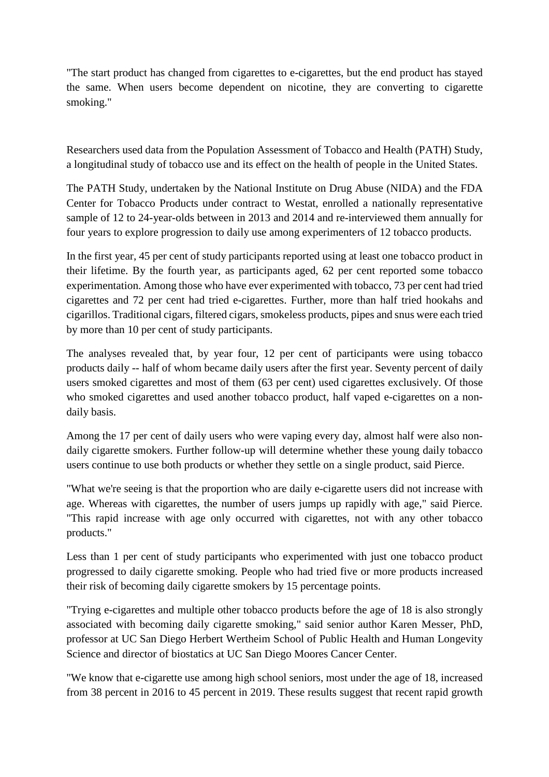"The start product has changed from cigarettes to e-cigarettes, but the end product has stayed the same. When users become dependent on nicotine, they are converting to cigarette smoking."

Researchers used data from the Population Assessment of Tobacco and Health (PATH) Study, a longitudinal study of tobacco use and its effect on the health of people in the United States.

The PATH Study, undertaken by the National Institute on Drug Abuse (NIDA) and the FDA Center for Tobacco Products under contract to Westat, enrolled a nationally representative sample of 12 to 24-year-olds between in 2013 and 2014 and re-interviewed them annually for four years to explore progression to daily use among experimenters of 12 tobacco products.

In the first year, 45 per cent of study participants reported using at least one tobacco product in their lifetime. By the fourth year, as participants aged, 62 per cent reported some tobacco experimentation. Among those who have ever experimented with tobacco, 73 per cent had tried cigarettes and 72 per cent had tried e-cigarettes. Further, more than half tried hookahs and cigarillos. Traditional cigars, filtered cigars, smokeless products, pipes and snus were each tried by more than 10 per cent of study participants.

The analyses revealed that, by year four, 12 per cent of participants were using tobacco products daily -- half of whom became daily users after the first year. Seventy percent of daily users smoked cigarettes and most of them (63 per cent) used cigarettes exclusively. Of those who smoked cigarettes and used another tobacco product, half vaped e-cigarettes on a nondaily basis.

Among the 17 per cent of daily users who were vaping every day, almost half were also nondaily cigarette smokers. Further follow-up will determine whether these young daily tobacco users continue to use both products or whether they settle on a single product, said Pierce.

"What we're seeing is that the proportion who are daily e-cigarette users did not increase with age. Whereas with cigarettes, the number of users jumps up rapidly with age," said Pierce. "This rapid increase with age only occurred with cigarettes, not with any other tobacco products."

Less than 1 per cent of study participants who experimented with just one tobacco product progressed to daily cigarette smoking. People who had tried five or more products increased their risk of becoming daily cigarette smokers by 15 percentage points.

"Trying e-cigarettes and multiple other tobacco products before the age of 18 is also strongly associated with becoming daily cigarette smoking," said senior author Karen Messer, PhD, professor at UC San Diego Herbert Wertheim School of Public Health and Human Longevity Science and director of biostatics at UC San Diego Moores Cancer Center.

"We know that e-cigarette use among high school seniors, most under the age of 18, increased from 38 percent in 2016 to 45 percent in 2019. These results suggest that recent rapid growth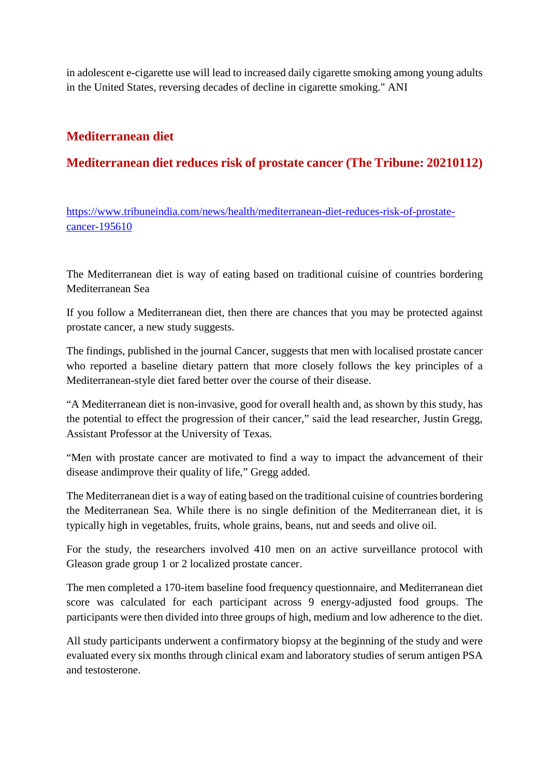in adolescent e-cigarette use will lead to increased daily cigarette smoking among young adults in the United States, reversing decades of decline in cigarette smoking." ANI

#### **Mediterranean diet**

#### **Mediterranean diet reduces risk of prostate cancer (The Tribune: 20210112)**

https://www.tribuneindia.com/news/health/mediterranean-diet-reduces-risk-of-prostatecancer-195610

The Mediterranean diet is way of eating based on traditional cuisine of countries bordering Mediterranean Sea

If you follow a Mediterranean diet, then there are chances that you may be protected against prostate cancer, a new study suggests.

The findings, published in the journal Cancer, suggests that men with localised prostate cancer who reported a baseline dietary pattern that more closely follows the key principles of a Mediterranean-style diet fared better over the course of their disease.

"A Mediterranean diet is non-invasive, good for overall health and, as shown by this study, has the potential to effect the progression of their cancer," said the lead researcher, Justin Gregg, Assistant Professor at the University of Texas.

"Men with prostate cancer are motivated to find a way to impact the advancement of their disease andimprove their quality of life," Gregg added.

The Mediterranean diet is a way of eating based on the traditional cuisine of countries bordering the Mediterranean Sea. While there is no single definition of the Mediterranean diet, it is typically high in vegetables, fruits, whole grains, beans, nut and seeds and olive oil.

For the study, the researchers involved 410 men on an active surveillance protocol with Gleason grade group 1 or 2 localized prostate cancer.

The men completed a 170-item baseline food frequency questionnaire, and Mediterranean diet score was calculated for each participant across 9 energy-adjusted food groups. The participants were then divided into three groups of high, medium and low adherence to the diet.

All study participants underwent a confirmatory biopsy at the beginning of the study and were evaluated every six months through clinical exam and laboratory studies of serum antigen PSA and testosterone.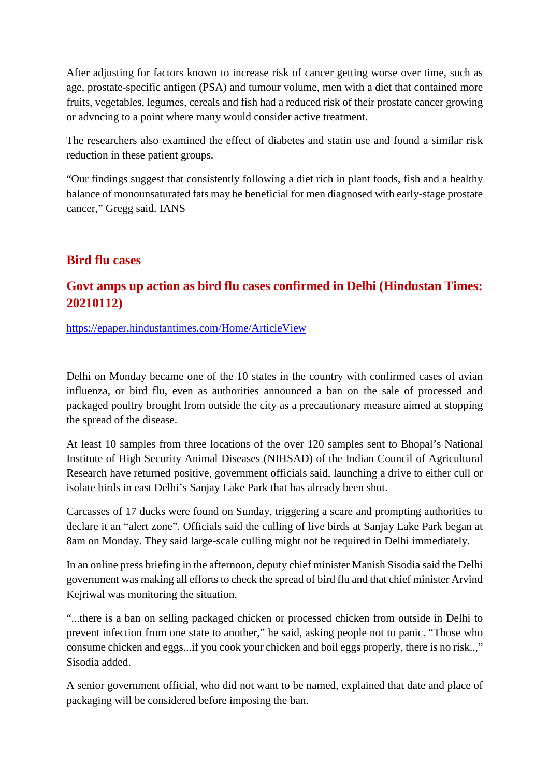After adjusting for factors known to increase risk of cancer getting worse over time, such as age, prostate-specific antigen (PSA) and tumour volume, men with a diet that contained more fruits, vegetables, legumes, cereals and fish had a reduced risk of their prostate cancer growing or advncing to a point where many would consider active treatment.

The researchers also examined the effect of diabetes and statin use and found a similar risk reduction in these patient groups.

"Our findings suggest that consistently following a diet rich in plant foods, fish and a healthy balance of monounsaturated fats may be beneficial for men diagnosed with early-stage prostate cancer," Gregg said. IANS

#### **Bird flu cases**

#### **Govt amps up action as bird flu cases confirmed in Delhi (Hindustan Times: 20210112)**

https://epaper.hindustantimes.com/Home/ArticleView

Delhi on Monday became one of the 10 states in the country with confirmed cases of avian influenza, or bird flu, even as authorities announced a ban on the sale of processed and packaged poultry brought from outside the city as a precautionary measure aimed at stopping the spread of the disease.

At least 10 samples from three locations of the over 120 samples sent to Bhopal's National Institute of High Security Animal Diseases (NIHSAD) of the Indian Council of Agricultural Research have returned positive, government officials said, launching a drive to either cull or isolate birds in east Delhi's Sanjay Lake Park that has already been shut.

Carcasses of 17 ducks were found on Sunday, triggering a scare and prompting authorities to declare it an "alert zone". Officials said the culling of live birds at Sanjay Lake Park began at 8am on Monday. They said large-scale culling might not be required in Delhi immediately.

In an online press briefing in the afternoon, deputy chief minister Manish Sisodia said the Delhi government was making all efforts to check the spread of bird flu and that chief minister Arvind Kejriwal was monitoring the situation.

"...there is a ban on selling packaged chicken or processed chicken from outside in Delhi to prevent infection from one state to another," he said, asking people not to panic. "Those who consume chicken and eggs...if you cook your chicken and boil eggs properly, there is no risk..," Sisodia added.

A senior government official, who did not want to be named, explained that date and place of packaging will be considered before imposing the ban.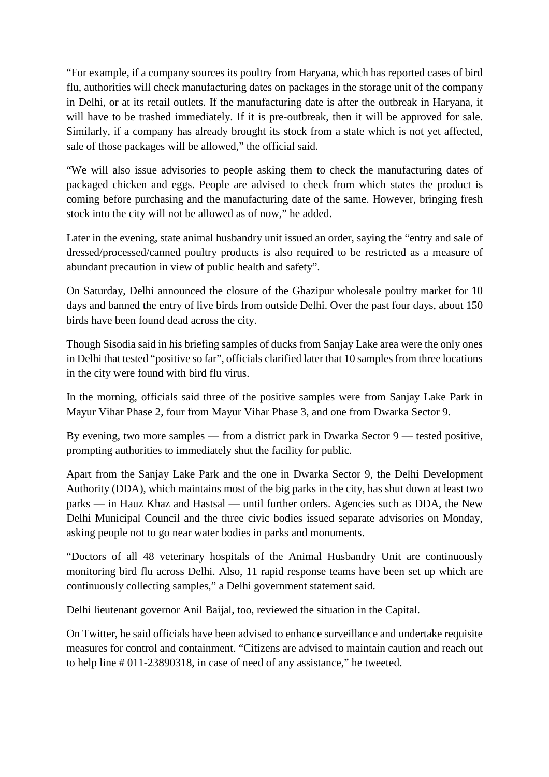"For example, if a company sources its poultry from Haryana, which has reported cases of bird flu, authorities will check manufacturing dates on packages in the storage unit of the company in Delhi, or at its retail outlets. If the manufacturing date is after the outbreak in Haryana, it will have to be trashed immediately. If it is pre-outbreak, then it will be approved for sale. Similarly, if a company has already brought its stock from a state which is not yet affected, sale of those packages will be allowed," the official said.

"We will also issue advisories to people asking them to check the manufacturing dates of packaged chicken and eggs. People are advised to check from which states the product is coming before purchasing and the manufacturing date of the same. However, bringing fresh stock into the city will not be allowed as of now," he added.

Later in the evening, state animal husbandry unit issued an order, saying the "entry and sale of dressed/processed/canned poultry products is also required to be restricted as a measure of abundant precaution in view of public health and safety".

On Saturday, Delhi announced the closure of the Ghazipur wholesale poultry market for 10 days and banned the entry of live birds from outside Delhi. Over the past four days, about 150 birds have been found dead across the city.

Though Sisodia said in his briefing samples of ducks from Sanjay Lake area were the only ones in Delhi that tested "positive so far", officials clarified later that 10 samples from three locations in the city were found with bird flu virus.

In the morning, officials said three of the positive samples were from Sanjay Lake Park in Mayur Vihar Phase 2, four from Mayur Vihar Phase 3, and one from Dwarka Sector 9.

By evening, two more samples — from a district park in Dwarka Sector 9 — tested positive, prompting authorities to immediately shut the facility for public.

Apart from the Sanjay Lake Park and the one in Dwarka Sector 9, the Delhi Development Authority (DDA), which maintains most of the big parks in the city, has shut down at least two parks — in Hauz Khaz and Hastsal — until further orders. Agencies such as DDA, the New Delhi Municipal Council and the three civic bodies issued separate advisories on Monday, asking people not to go near water bodies in parks and monuments.

"Doctors of all 48 veterinary hospitals of the Animal Husbandry Unit are continuously monitoring bird flu across Delhi. Also, 11 rapid response teams have been set up which are continuously collecting samples," a Delhi government statement said.

Delhi lieutenant governor Anil Baijal, too, reviewed the situation in the Capital.

On Twitter, he said officials have been advised to enhance surveillance and undertake requisite measures for control and containment. "Citizens are advised to maintain caution and reach out to help line # 011-23890318, in case of need of any assistance," he tweeted.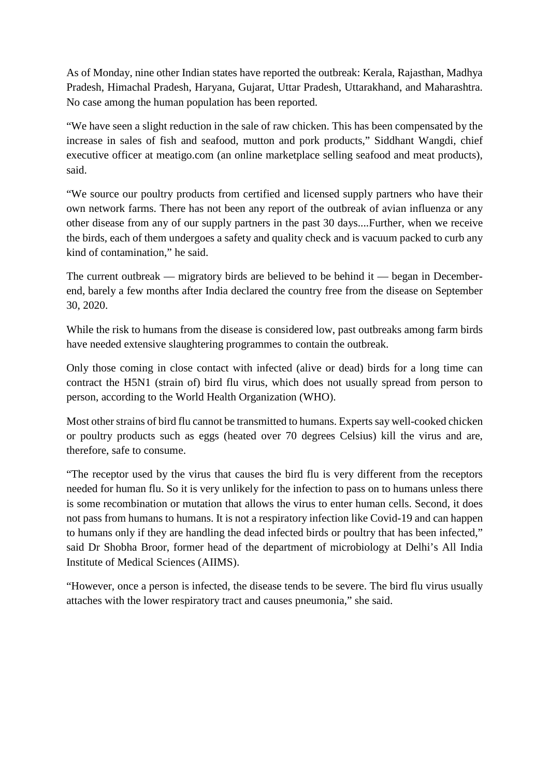As of Monday, nine other Indian states have reported the outbreak: Kerala, Rajasthan, Madhya Pradesh, Himachal Pradesh, Haryana, Gujarat, Uttar Pradesh, Uttarakhand, and Maharashtra. No case among the human population has been reported.

"We have seen a slight reduction in the sale of raw chicken. This has been compensated by the increase in sales of fish and seafood, mutton and pork products," Siddhant Wangdi, chief executive officer at meatigo.com (an online marketplace selling seafood and meat products), said.

"We source our poultry products from certified and licensed supply partners who have their own network farms. There has not been any report of the outbreak of avian influenza or any other disease from any of our supply partners in the past 30 days....Further, when we receive the birds, each of them undergoes a safety and quality check and is vacuum packed to curb any kind of contamination," he said.

The current outbreak — migratory birds are believed to be behind it — began in Decemberend, barely a few months after India declared the country free from the disease on September 30, 2020.

While the risk to humans from the disease is considered low, past outbreaks among farm birds have needed extensive slaughtering programmes to contain the outbreak.

Only those coming in close contact with infected (alive or dead) birds for a long time can contract the H5N1 (strain of) bird flu virus, which does not usually spread from person to person, according to the World Health Organization (WHO).

Most other strains of bird flu cannot be transmitted to humans. Experts say well-cooked chicken or poultry products such as eggs (heated over 70 degrees Celsius) kill the virus and are, therefore, safe to consume.

"The receptor used by the virus that causes the bird flu is very different from the receptors needed for human flu. So it is very unlikely for the infection to pass on to humans unless there is some recombination or mutation that allows the virus to enter human cells. Second, it does not pass from humans to humans. It is not a respiratory infection like Covid-19 and can happen to humans only if they are handling the dead infected birds or poultry that has been infected," said Dr Shobha Broor, former head of the department of microbiology at Delhi's All India Institute of Medical Sciences (AIIMS).

"However, once a person is infected, the disease tends to be severe. The bird flu virus usually attaches with the lower respiratory tract and causes pneumonia," she said.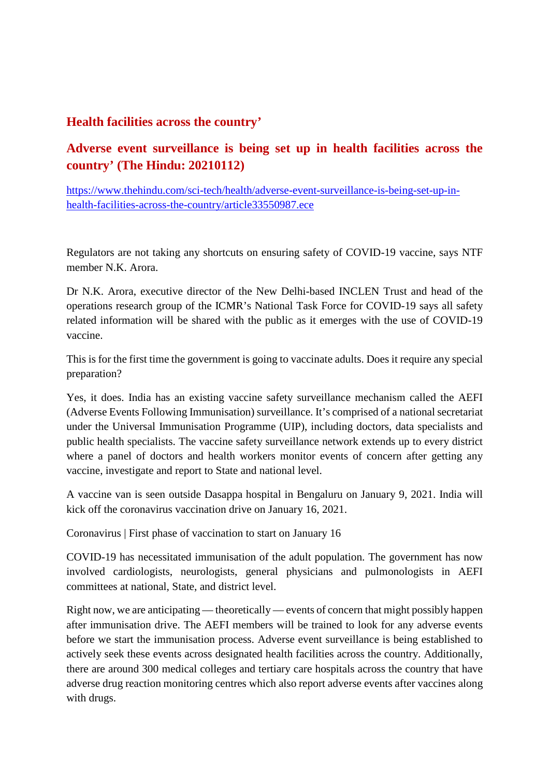#### **Health facilities across the country'**

#### **Adverse event surveillance is being set up in health facilities across the country' (The Hindu: 20210112)**

https://www.thehindu.com/sci-tech/health/adverse-event-surveillance-is-being-set-up-inhealth-facilities-across-the-country/article33550987.ece

Regulators are not taking any shortcuts on ensuring safety of COVID-19 vaccine, says NTF member N.K. Arora.

Dr N.K. Arora, executive director of the New Delhi-based INCLEN Trust and head of the operations research group of the ICMR's National Task Force for COVID-19 says all safety related information will be shared with the public as it emerges with the use of COVID-19 vaccine.

This is for the first time the government is going to vaccinate adults. Does it require any special preparation?

Yes, it does. India has an existing vaccine safety surveillance mechanism called the AEFI (Adverse Events Following Immunisation) surveillance. It's comprised of a national secretariat under the Universal Immunisation Programme (UIP), including doctors, data specialists and public health specialists. The vaccine safety surveillance network extends up to every district where a panel of doctors and health workers monitor events of concern after getting any vaccine, investigate and report to State and national level.

A vaccine van is seen outside Dasappa hospital in Bengaluru on January 9, 2021. India will kick off the coronavirus vaccination drive on January 16, 2021.

Coronavirus | First phase of vaccination to start on January 16

COVID-19 has necessitated immunisation of the adult population. The government has now involved cardiologists, neurologists, general physicians and pulmonologists in AEFI committees at national, State, and district level.

Right now, we are anticipating — theoretically — events of concern that might possibly happen after immunisation drive. The AEFI members will be trained to look for any adverse events before we start the immunisation process. Adverse event surveillance is being established to actively seek these events across designated health facilities across the country. Additionally, there are around 300 medical colleges and tertiary care hospitals across the country that have adverse drug reaction monitoring centres which also report adverse events after vaccines along with drugs.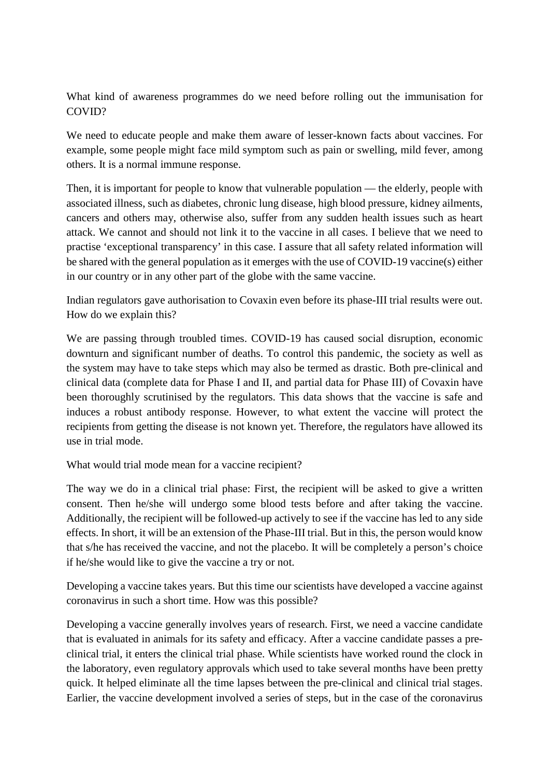What kind of awareness programmes do we need before rolling out the immunisation for COVID?

We need to educate people and make them aware of lesser-known facts about vaccines. For example, some people might face mild symptom such as pain or swelling, mild fever, among others. It is a normal immune response.

Then, it is important for people to know that vulnerable population — the elderly, people with associated illness, such as diabetes, chronic lung disease, high blood pressure, kidney ailments, cancers and others may, otherwise also, suffer from any sudden health issues such as heart attack. We cannot and should not link it to the vaccine in all cases. I believe that we need to practise 'exceptional transparency' in this case. I assure that all safety related information will be shared with the general population as it emerges with the use of COVID-19 vaccine(s) either in our country or in any other part of the globe with the same vaccine.

Indian regulators gave authorisation to Covaxin even before its phase-III trial results were out. How do we explain this?

We are passing through troubled times. COVID-19 has caused social disruption, economic downturn and significant number of deaths. To control this pandemic, the society as well as the system may have to take steps which may also be termed as drastic. Both pre-clinical and clinical data (complete data for Phase I and II, and partial data for Phase III) of Covaxin have been thoroughly scrutinised by the regulators. This data shows that the vaccine is safe and induces a robust antibody response. However, to what extent the vaccine will protect the recipients from getting the disease is not known yet. Therefore, the regulators have allowed its use in trial mode.

What would trial mode mean for a vaccine recipient?

The way we do in a clinical trial phase: First, the recipient will be asked to give a written consent. Then he/she will undergo some blood tests before and after taking the vaccine. Additionally, the recipient will be followed-up actively to see if the vaccine has led to any side effects. In short, it will be an extension of the Phase-III trial. But in this, the person would know that s/he has received the vaccine, and not the placebo. It will be completely a person's choice if he/she would like to give the vaccine a try or not.

Developing a vaccine takes years. But this time our scientists have developed a vaccine against coronavirus in such a short time. How was this possible?

Developing a vaccine generally involves years of research. First, we need a vaccine candidate that is evaluated in animals for its safety and efficacy. After a vaccine candidate passes a preclinical trial, it enters the clinical trial phase. While scientists have worked round the clock in the laboratory, even regulatory approvals which used to take several months have been pretty quick. It helped eliminate all the time lapses between the pre-clinical and clinical trial stages. Earlier, the vaccine development involved a series of steps, but in the case of the coronavirus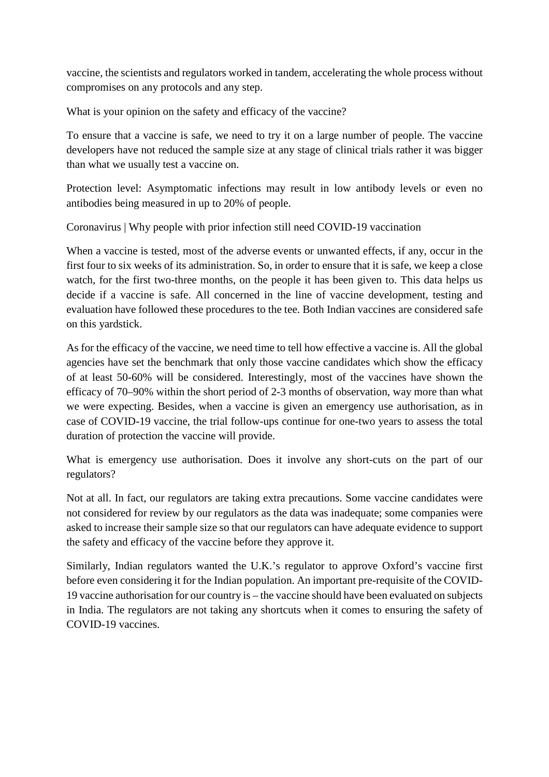vaccine, the scientists and regulators worked in tandem, accelerating the whole process without compromises on any protocols and any step.

What is your opinion on the safety and efficacy of the vaccine?

To ensure that a vaccine is safe, we need to try it on a large number of people. The vaccine developers have not reduced the sample size at any stage of clinical trials rather it was bigger than what we usually test a vaccine on.

Protection level: Asymptomatic infections may result in low antibody levels or even no antibodies being measured in up to 20% of people.

Coronavirus | Why people with prior infection still need COVID-19 vaccination

When a vaccine is tested, most of the adverse events or unwanted effects, if any, occur in the first four to six weeks of its administration. So, in order to ensure that it is safe, we keep a close watch, for the first two-three months, on the people it has been given to. This data helps us decide if a vaccine is safe. All concerned in the line of vaccine development, testing and evaluation have followed these procedures to the tee. Both Indian vaccines are considered safe on this yardstick.

As for the efficacy of the vaccine, we need time to tell how effective a vaccine is. All the global agencies have set the benchmark that only those vaccine candidates which show the efficacy of at least 50-60% will be considered. Interestingly, most of the vaccines have shown the efficacy of 70–90% within the short period of 2-3 months of observation, way more than what we were expecting. Besides, when a vaccine is given an emergency use authorisation, as in case of COVID-19 vaccine, the trial follow-ups continue for one-two years to assess the total duration of protection the vaccine will provide.

What is emergency use authorisation. Does it involve any short-cuts on the part of our regulators?

Not at all. In fact, our regulators are taking extra precautions. Some vaccine candidates were not considered for review by our regulators as the data was inadequate; some companies were asked to increase their sample size so that our regulators can have adequate evidence to support the safety and efficacy of the vaccine before they approve it.

Similarly, Indian regulators wanted the U.K.'s regulator to approve Oxford's vaccine first before even considering it for the Indian population. An important pre-requisite of the COVID-19 vaccine authorisation for our country is – the vaccine should have been evaluated on subjects in India. The regulators are not taking any shortcuts when it comes to ensuring the safety of COVID-19 vaccines.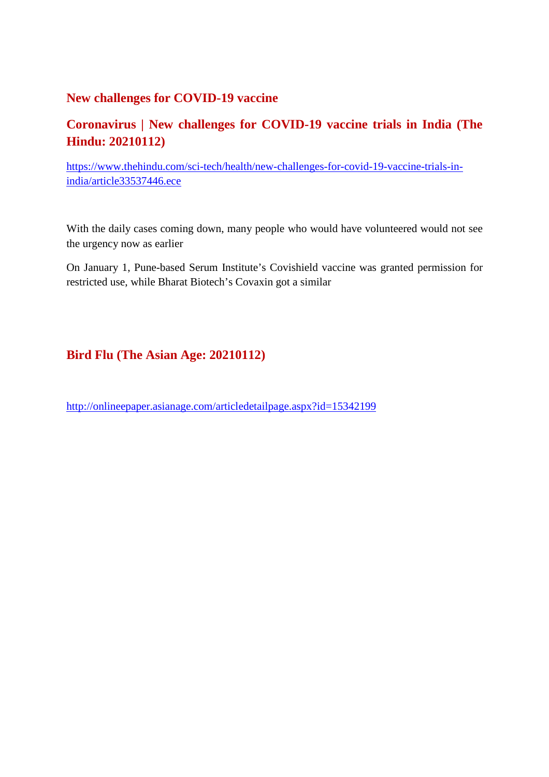#### **New challenges for COVID-19 vaccine**

#### **Coronavirus | New challenges for COVID-19 vaccine trials in India (The Hindu: 20210112)**

https://www.thehindu.com/sci-tech/health/new-challenges-for-covid-19-vaccine-trials-inindia/article33537446.ece

With the daily cases coming down, many people who would have volunteered would not see the urgency now as earlier

On January 1, Pune-based Serum Institute's Covishield vaccine was granted permission for restricted use, while Bharat Biotech's Covaxin got a similar

#### **Bird Flu (The Asian Age: 20210112)**

http://onlineepaper.asianage.com/articledetailpage.aspx?id=15342199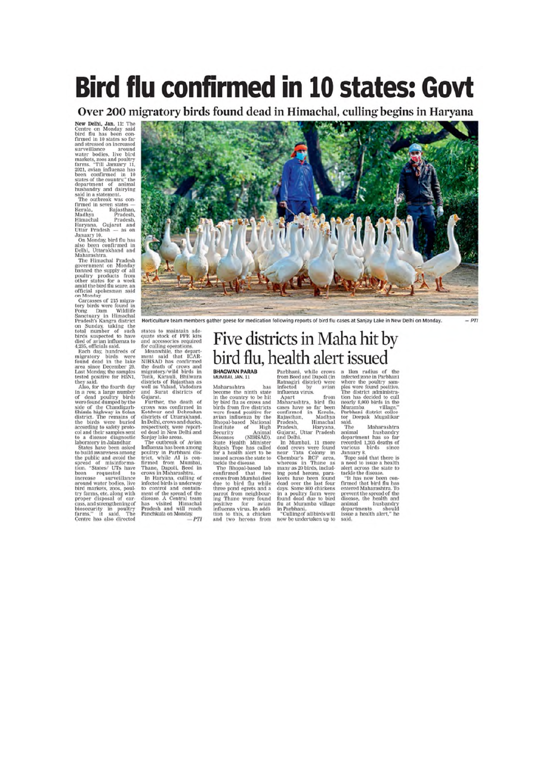## **Bird flu confirmed in 10 states: Govt**

Over 200 migratory birds found dead in Himachal, culling begins in Haryana

**New Delhi, Jan. 11:** The Centre on Monday said<br>bird flu has been confirmed in 10 states so far<br>and stressed on increased<br>and stressed on increased<br>and stressed on the correction surveillance are<br>water bodies, live aroune hird markets, zoos and poultry<br>farms. "Till January 11  $\frac{1}{11}$ 2021, avian influenza has 2021, avian influenza has<br>been confirmed in 10<br>been confirmed in 10<br>department of animal<br>abundry and dairying<br>said in a statement. The outbreak was confirmed in seven states<br>and in seven states . Registral, Madhya Pradesh,

Nerala, Fagasthan, Pagasthan, Pagasthan, Pagasthan, Bradesh, Himachal, Bradesh, Baryana, Gujarat and Utuar Pradesh, On Monday, bird flu bass, ben confirmed in Maharashtra. The Himachal Product Maharashtra. The Himachal pol

they said.<br>
Also, for the fourth day<br>
Miso, for the fourth day<br>
in a row, a large number<br>
of dead poultry birds<br>
or dead poultry birds<br>
were found dumped by the<br>
saide of the Chandigarh-<br>
Shimila highway in Solan<br>
dustrict biosecurity in poultry<br>farms," it said. The<br>Centre has also directed



Horticulture team members gather geese for medication following reports of bird flu cases at Sanjay Lake in New Delhi on Monday. rotuculus can internet<br>states to maintain and<br>quate stock of PPE kits<br>and accessories required<br>means are accessories and accessories mean<br>means and the depart-<br>means and internet state of cancel migratory/wild birds in<br>Ton

#### Five districts in Maha hit by bird flu, health alert issued BHAGWAN PARAB

MUMBAI, JAN. 11

has

Maharashtra well as Valsad, Vadodara<br>
and Start districts of<br>
and Start districts of<br>
Gujarat.<br>
Further, the death of<br>
Further, the death of<br>
Further, the death of<br>
districts of Uttarakhand.<br>
In Dehi, cover a district of the specifie become the ninth state

Maharashtra<br>
Maharashtra<br>
Maharashtra<br>
Mecome the ninth state<br>
in the country to be hit<br>
by bird flu as crows and<br>
by bird flu as crows and<br>
were found positive for<br>
were found positive of<br>
Rhopal-based National<br>
Institute tion to this, a chicken<br>and two herons from

 $_{PTI}$ 

Parbhani, while crows<br>from Beed and Dapoli (in Ratnagiri district) were infected by avian influenza virus.

infected by avian<br>infected by avian<br>influenza virus. from Maharashtra, birdh (flu<br>cases have so far been<br>cases have so far been<br>bonfirmed in Kerala, Haryana, Pradesh, Haryana, Oujarat, Utar Pradesh<br>and Delhi. In our dead c

in Parbhani.<br>"Culling of all birds will now be undertaken up to

a 1km radius of the<br>infected zone in Parbhani infected zone in Parbhani<br>where the poultry sam-<br>ples were found positive.<br>The district administra-<br>tion has decided to cull<br>nearly 8,000 birds in the<br>numeral

nearly 8,000 birds in the Muramba<br>
Muramba<br>
Parbhani district collector Deepak Mugalikar<br>
The Maharashtra Maharashtra<br>
The Maharashtra<br>
animal husbandry<br>
recorded 1,205 deaths of partner<br>
recorded 1,205 deaths of partners<br>

 $\begin{tabular}{ll} \textbf{tackle the disease.}\\ \textbf{a} & \textbf{r} & \textbf{has now been confirmed that bird flux has entered Maharshtra.} \textbf{To the prevent the spread of the disease, the health and images.\\ \textbf{a} & \textbf{mimal} & \textbf{husbandry} \textbf{degree} \textbf{ and a health alert,} \textbf{''} \textbf{ he used a health alert,} \textbf{''} \textbf{ he} \textbf{.} \end{tabular}$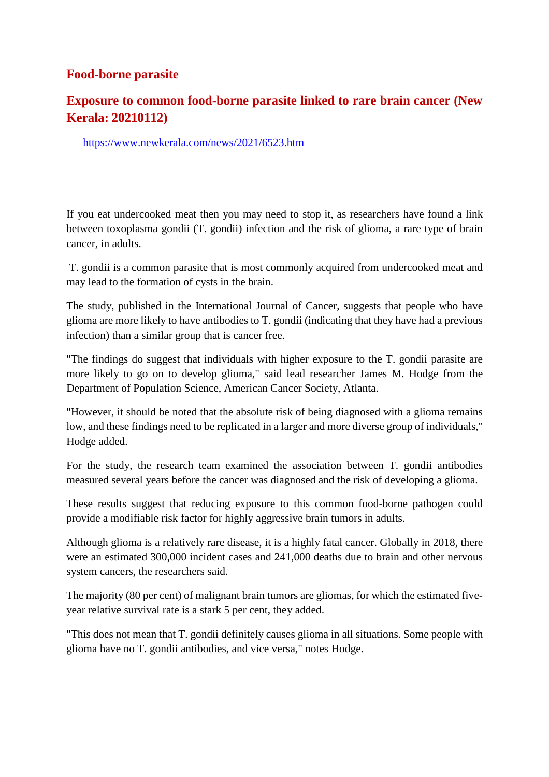#### **Food-borne parasite**

#### **Exposure to common food-borne parasite linked to rare brain cancer (New Kerala: 20210112)**

https://www.newkerala.com/news/2021/6523.htm

If you eat undercooked meat then you may need to stop it, as researchers have found a link between toxoplasma gondii (T. gondii) infection and the risk of glioma, a rare type of brain cancer, in adults.

T. gondii is a common parasite that is most commonly acquired from undercooked meat and may lead to the formation of cysts in the brain.

The study, published in the International Journal of Cancer, suggests that people who have glioma are more likely to have antibodies to T. gondii (indicating that they have had a previous infection) than a similar group that is cancer free.

"The findings do suggest that individuals with higher exposure to the T. gondii parasite are more likely to go on to develop glioma," said lead researcher James M. Hodge from the Department of Population Science, American Cancer Society, Atlanta.

"However, it should be noted that the absolute risk of being diagnosed with a glioma remains low, and these findings need to be replicated in a larger and more diverse group of individuals," Hodge added.

For the study, the research team examined the association between T. gondii antibodies measured several years before the cancer was diagnosed and the risk of developing a glioma.

These results suggest that reducing exposure to this common food-borne pathogen could provide a modifiable risk factor for highly aggressive brain tumors in adults.

Although glioma is a relatively rare disease, it is a highly fatal cancer. Globally in 2018, there were an estimated 300,000 incident cases and 241,000 deaths due to brain and other nervous system cancers, the researchers said.

The majority (80 per cent) of malignant brain tumors are gliomas, for which the estimated fiveyear relative survival rate is a stark 5 per cent, they added.

"This does not mean that T. gondii definitely causes glioma in all situations. Some people with glioma have no T. gondii antibodies, and vice versa," notes Hodge.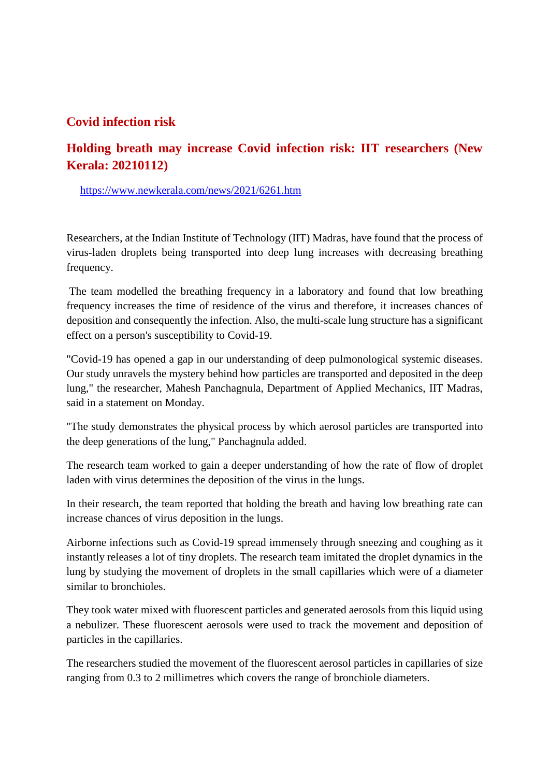#### **Covid infection risk**

#### **Holding breath may increase Covid infection risk: IIT researchers (New Kerala: 20210112)**

https://www.newkerala.com/news/2021/6261.htm

Researchers, at the Indian Institute of Technology (IIT) Madras, have found that the process of virus-laden droplets being transported into deep lung increases with decreasing breathing frequency.

The team modelled the breathing frequency in a laboratory and found that low breathing frequency increases the time of residence of the virus and therefore, it increases chances of deposition and consequently the infection. Also, the multi-scale lung structure has a significant effect on a person's susceptibility to Covid-19.

"Covid-19 has opened a gap in our understanding of deep pulmonological systemic diseases. Our study unravels the mystery behind how particles are transported and deposited in the deep lung," the researcher, Mahesh Panchagnula, Department of Applied Mechanics, IIT Madras, said in a statement on Monday.

"The study demonstrates the physical process by which aerosol particles are transported into the deep generations of the lung," Panchagnula added.

The research team worked to gain a deeper understanding of how the rate of flow of droplet laden with virus determines the deposition of the virus in the lungs.

In their research, the team reported that holding the breath and having low breathing rate can increase chances of virus deposition in the lungs.

Airborne infections such as Covid-19 spread immensely through sneezing and coughing as it instantly releases a lot of tiny droplets. The research team imitated the droplet dynamics in the lung by studying the movement of droplets in the small capillaries which were of a diameter similar to bronchioles.

They took water mixed with fluorescent particles and generated aerosols from this liquid using a nebulizer. These fluorescent aerosols were used to track the movement and deposition of particles in the capillaries.

The researchers studied the movement of the fluorescent aerosol particles in capillaries of size ranging from 0.3 to 2 millimetres which covers the range of bronchiole diameters.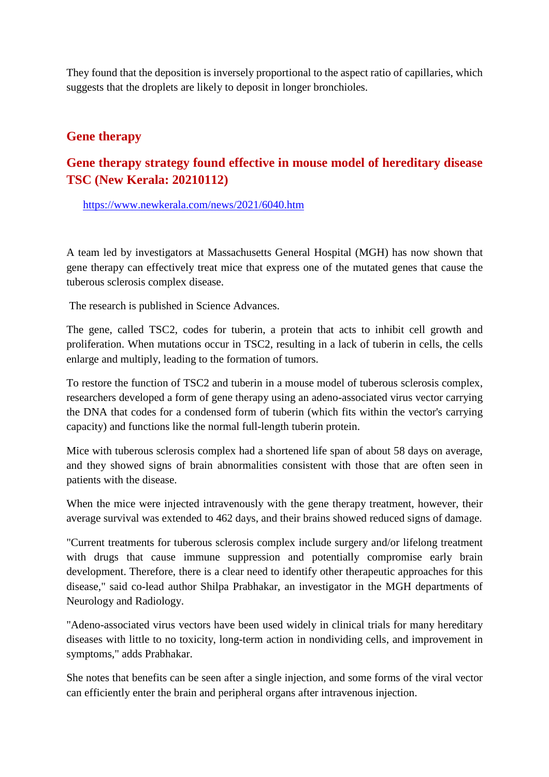They found that the deposition is inversely proportional to the aspect ratio of capillaries, which suggests that the droplets are likely to deposit in longer bronchioles.

#### **Gene therapy**

#### **Gene therapy strategy found effective in mouse model of hereditary disease TSC (New Kerala: 20210112)**

https://www.newkerala.com/news/2021/6040.htm

A team led by investigators at Massachusetts General Hospital (MGH) has now shown that gene therapy can effectively treat mice that express one of the mutated genes that cause the tuberous sclerosis complex disease.

The research is published in Science Advances.

The gene, called TSC2, codes for tuberin, a protein that acts to inhibit cell growth and proliferation. When mutations occur in TSC2, resulting in a lack of tuberin in cells, the cells enlarge and multiply, leading to the formation of tumors.

To restore the function of TSC2 and tuberin in a mouse model of tuberous sclerosis complex, researchers developed a form of gene therapy using an adeno-associated virus vector carrying the DNA that codes for a condensed form of tuberin (which fits within the vector's carrying capacity) and functions like the normal full-length tuberin protein.

Mice with tuberous sclerosis complex had a shortened life span of about 58 days on average, and they showed signs of brain abnormalities consistent with those that are often seen in patients with the disease.

When the mice were injected intravenously with the gene therapy treatment, however, their average survival was extended to 462 days, and their brains showed reduced signs of damage.

"Current treatments for tuberous sclerosis complex include surgery and/or lifelong treatment with drugs that cause immune suppression and potentially compromise early brain development. Therefore, there is a clear need to identify other therapeutic approaches for this disease," said co-lead author Shilpa Prabhakar, an investigator in the MGH departments of Neurology and Radiology.

"Adeno-associated virus vectors have been used widely in clinical trials for many hereditary diseases with little to no toxicity, long-term action in nondividing cells, and improvement in symptoms," adds Prabhakar.

She notes that benefits can be seen after a single injection, and some forms of the viral vector can efficiently enter the brain and peripheral organs after intravenous injection.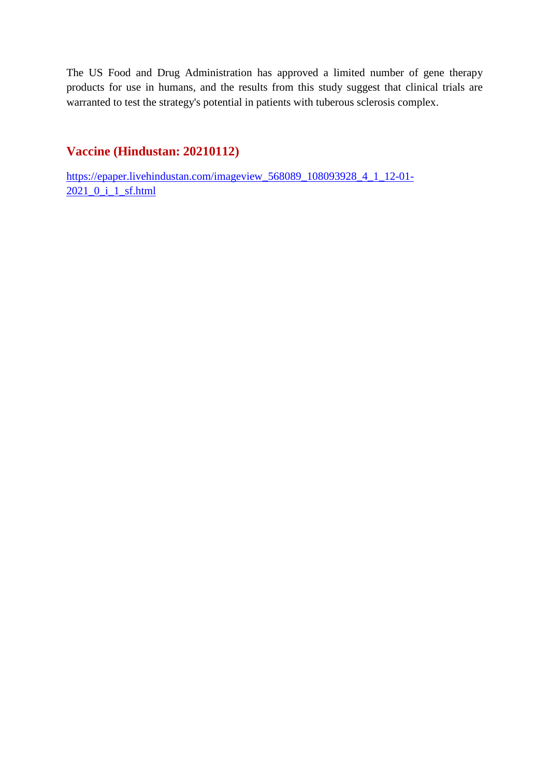The US Food and Drug Administration has approved a limited number of gene therapy products for use in humans, and the results from this study suggest that clinical trials are warranted to test the strategy's potential in patients with tuberous sclerosis complex.

#### **Vaccine (Hindustan: 20210112)**

https://epaper.livehindustan.com/imageview\_568089\_108093928\_4\_1\_12-01- 2021\_0\_i\_1\_sf.html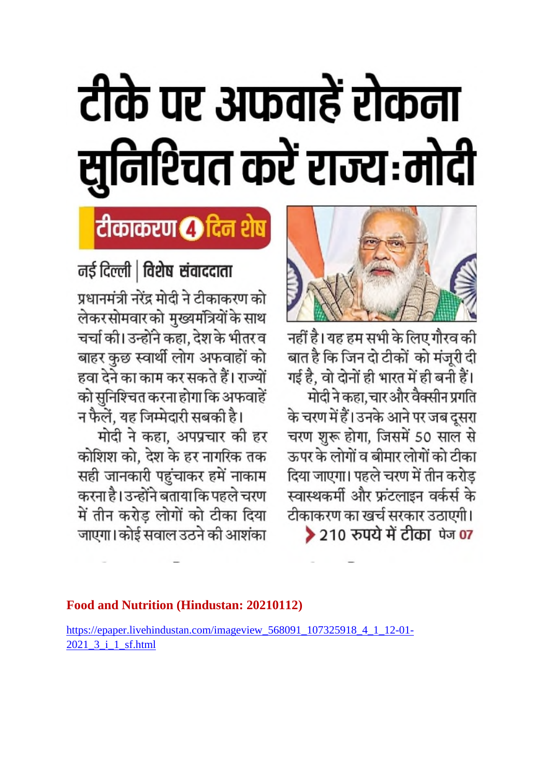## टीके पर अफवाहें रोकना सुनिश्चित करें राज्य:मोदी



नहीं है। यह हम सभी के लिए गौरव की बात है कि जिन दो टीकों को मंजूरी दी गई है, वो दोनों ही भारत में ही बनी हैं। मोदी ने कहा, चार और वैक्सीन प्रगति के चरण में हैं। उनके आने पर जब दूसरा चरण शुरू होगा, जिसमें 50 साल से ऊपर के लोगों व बीमार लोगों को टीका दिया जाएगा। पहले चरण में तीन करोड़ स्वास्थकर्मी और फ्रंटलाइन वर्कर्स के टीकाकरण का खर्च सरकार उठाएगी। ▶ 210 रुपये में टीका फेन 07

## टीकाकरण **@** दिन शेष

#### नई दिल्ली | विशेष संवाददाता

प्रधानमंत्री नरेंद्र मोदी ने टीकाकरण को लेकरसोमवारको मुख्यमंत्रियों के साथ चर्चा की। उन्होंने कहा, देश के भीतर व बाहर कुछ स्वार्थी लोग अफवाहों को हवा देने का काम कर सकते हैं। राज्यों को सुनिश्चित करना होगा कि अफवाहें

न फैलें, यह जिम्मेदारी सबकी है। मोदी ने कहा, अपप्रचार की हर कोशिश को, देश के हर नागरिक तक सही जानकारी पहुंचाकर हमें नाकाम करना है। उन्होंने बताया कि पहले चरण में तीन करोड़ लोगों को टीका दिया जाएगा। कोई सवाल उठने की आशंका

#### **Food and Nutrition (Hindustan: 20210112)**

https://epaper.livehindustan.com/imageview\_568091\_107325918\_4\_1\_12-01- 2021\_3\_i\_1\_sf.html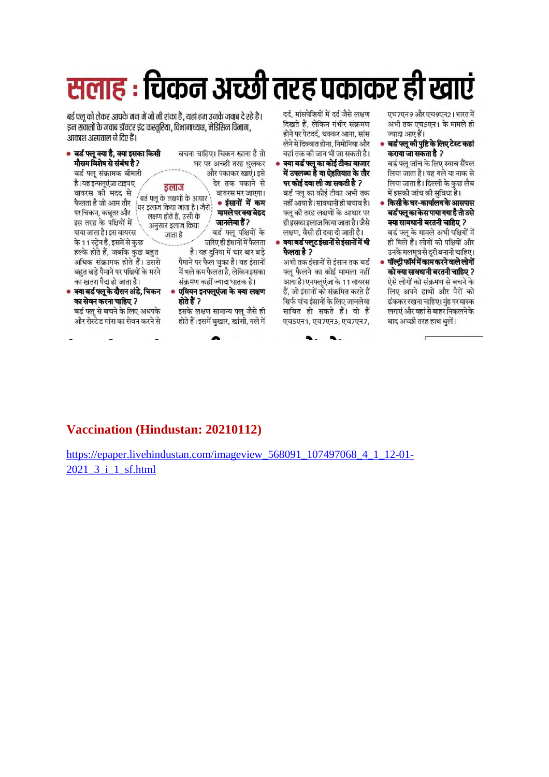## सलाह : चिकन अच्छी तरह पकाकर ही खाएं

बर्ड फ्लू को लेकर आपके मन में जो भी शंका हैं, यहां हम उनके जवाब दे रहे हैं। इन संवालों के जवाब डॉक्टर इंद्र कस्तुरिया, विभागाध्यक्ष, मेडिसिन विभाग, आकाश अस्पताल ने दिए हैं।

• बर्ड फ्लू क्या है, क्या इसका किसी<br>• मौसम विशेष से संबंध है ? बर्ड फ्लू संक्रामक बीमारी है। यह इन्फ्लूएंजा टाइपए इलाज वायरस की मदद से ,<br>बर्ड फ्लू के लक्षणों के आधार फैलता है जो आम तौर पर इलाज किया जाता है। जैसे पर चिकन, कबूतर और लक्षण होते हैं, उसी के इस तरह के पक्षियों में अनुसार इलाज किया पाया जाता है। इस वायरस जाता है के 11 स्ट्रेन हैं, इसमें से कुछ हल्के होते हैं, जबकि कुछ बहुत अधिक संक्रामक होते हैं। उससे बहत बडे पैमाने पर पक्षियों के मरने का खतरा पैदा हो जाता है। • क्या बर्ड फ्लू के दौरान अंडे, चिकन का सेवन करना चाहिए ?

बर्ड फ्लू से बचने के लिए अधपके और रोस्टेड मांस का सेवन करने से बचना चाहिए। चिकन खाना है तो घर पर अच्छी तरह धलकर और पकाकर खाएं। इसे देर तक पकाने से वायरस मर जाएगा। • इंसानों में कम मामले पर क्या बेहद जानलेवा हैं?

बर्ड फ्लू पक्षियों के जरिए ही इंसानों में फैलता है। यह दनिया में चार बार बडे पैमाने पर फैल चका है। यह इंसानों <u>में भले कम फैलता है, लेकिन इसका</u> संक्रमण कहीं ज्यादा घातक है।

एवियन इनफ्लूएंजा के क्या लक्षण होते हैं ?

इसके लक्षण सामान्य फ्लू जैसे ही होते हैं। इसमें बुखार, खांसी, गले में

दर्द, मांसपेशियों में दर्द जैसे लक्षण दिखते हैं, लेकिन गंभीर संक्रमण होने पर पेटदर्द, चक्कर आना, सांस लेने में दिक्कत होना. निमोनिया और यहां तक की जान भी जा सकती है।

क्या बर्ड फ्लू का कोई टीका बाजार में उपलब्ध है या ऐहतियात के तौर पर कोई दवा ली जा सकती है ? बर्ड फ्लू का कोई टीका अभी तक

नहीं आया है। सावधानी ही बचाव है। फ्लू की तरह लक्षणों के आधार पर ही इसका इलाज किया जाता है। जैसे लक्षण, वैसी ही दवा दी जाती है। क्या बर्ड फ्लूट इंसानों से इंसानों में भी

फैलता है ?

अभी तक इंसानों से इंसान तक बर्ड फ्ल फैलने का कोई मामला नहीं आया है। एनफ्लूएंजा के 11 वायरस हैं. जो इंसानों को संक्रमित करते हैं सिर्फ पांच इंसानों के लिए जानलेवा साबित हो सकते हैं। वो हैं एच5एन1, एच7एन3, एच7एन7,

 $\blacksquare$ 

एच7एन9 और एच9एन2। भारत में अभी तक एच5एन1 के मामले ही ज्यादा आए हैं।

• बर्ड फ्लू की पुष्टि के लिए टेस्ट कहां कराया जा सकता है ?

बर्ड फ्लू जांच के लिए स्वाब सैंपल लिया जाता है। यह गले या नाक से लिया जाता है। दिल्ली के कुछ लैब .<br>में इसकी जांच की सविधा है।

- किसी के घर-कार्यालय के आसपास बर्ड फ्लू का केस पाया गया है तो उसे क्या सावधानी बरतनी चाहिए ? बर्ड फ्लू के मामले अभी पक्षियों में ही मिले हैं। लोगों को पक्षियों और उनके मलमत्र से दरी बनानी चाहिए। पॉल्टी फॉर्म में काम करने वाले लोगों
- को क्या सावधानी बरतनी चाहिए ? ऐसे लोगों को संक्रमण से बचने के लिए अपने हाथों और पैरों को ढंककर रखना चाहिए। मंह पर मास्क लगाएं और वहां से बाहर निकलने के बाद अच्छी तरह हाथ धुलें।

#### **Vaccination (Hindustan: 20210112)**

https://epaper.livehindustan.com/imageview 568091 107497068 4 1 12-01-2021 3 i 1 sf.html